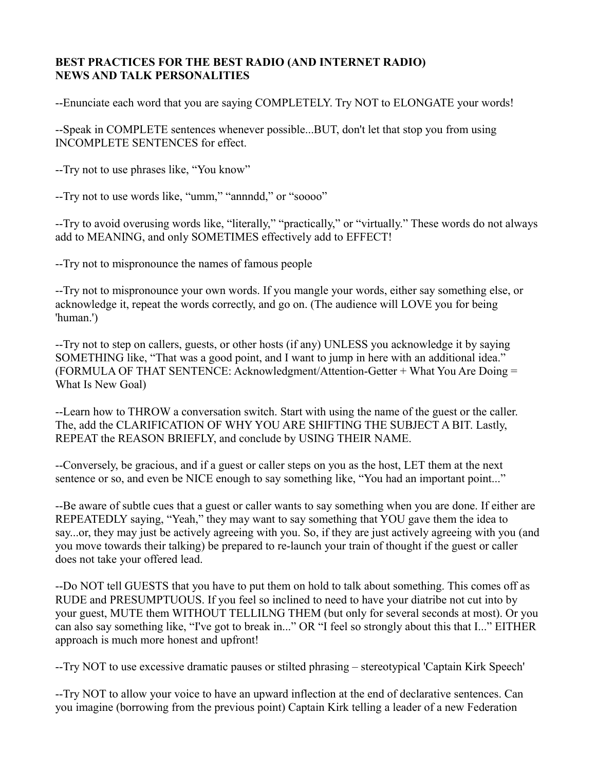## **BEST PRACTICES FOR THE BEST RADIO (AND INTERNET RADIO) NEWS AND TALK PERSONALITIES**

--Enunciate each word that you are saying COMPLETELY. Try NOT to ELONGATE your words!

--Speak in COMPLETE sentences whenever possible...BUT, don't let that stop you from using INCOMPLETE SENTENCES for effect.

--Try not to use phrases like, "You know"

--Try not to use words like, "umm," "annndd," or "soooo"

--Try to avoid overusing words like, "literally," "practically," or "virtually." These words do not always add to MEANING, and only SOMETIMES effectively add to EFFECT!

--Try not to mispronounce the names of famous people

--Try not to mispronounce your own words. If you mangle your words, either say something else, or acknowledge it, repeat the words correctly, and go on. (The audience will LOVE you for being 'human.')

--Try not to step on callers, guests, or other hosts (if any) UNLESS you acknowledge it by saying SOMETHING like, "That was a good point, and I want to jump in here with an additional idea." (FORMULA OF THAT SENTENCE: Acknowledgment/Attention-Getter + What You Are Doing = What Is New Goal)

--Learn how to THROW a conversation switch. Start with using the name of the guest or the caller. The, add the CLARIFICATION OF WHY YOU ARE SHIFTING THE SUBJECT A BIT. Lastly, REPEAT the REASON BRIEFLY, and conclude by USING THEIR NAME.

--Conversely, be gracious, and if a guest or caller steps on you as the host, LET them at the next sentence or so, and even be NICE enough to say something like, "You had an important point..."

--Be aware of subtle cues that a guest or caller wants to say something when you are done. If either are REPEATEDLY saying, "Yeah," they may want to say something that YOU gave them the idea to say...or, they may just be actively agreeing with you. So, if they are just actively agreeing with you (and you move towards their talking) be prepared to re-launch your train of thought if the guest or caller does not take your offered lead.

--Do NOT tell GUESTS that you have to put them on hold to talk about something. This comes off as RUDE and PRESUMPTUOUS. If you feel so inclined to need to have your diatribe not cut into by your guest, MUTE them WITHOUT TELLILNG THEM (but only for several seconds at most). Or you can also say something like, "I've got to break in..." OR "I feel so strongly about this that I..." EITHER approach is much more honest and upfront!

--Try NOT to use excessive dramatic pauses or stilted phrasing – stereotypical 'Captain Kirk Speech'

--Try NOT to allow your voice to have an upward inflection at the end of declarative sentences. Can you imagine (borrowing from the previous point) Captain Kirk telling a leader of a new Federation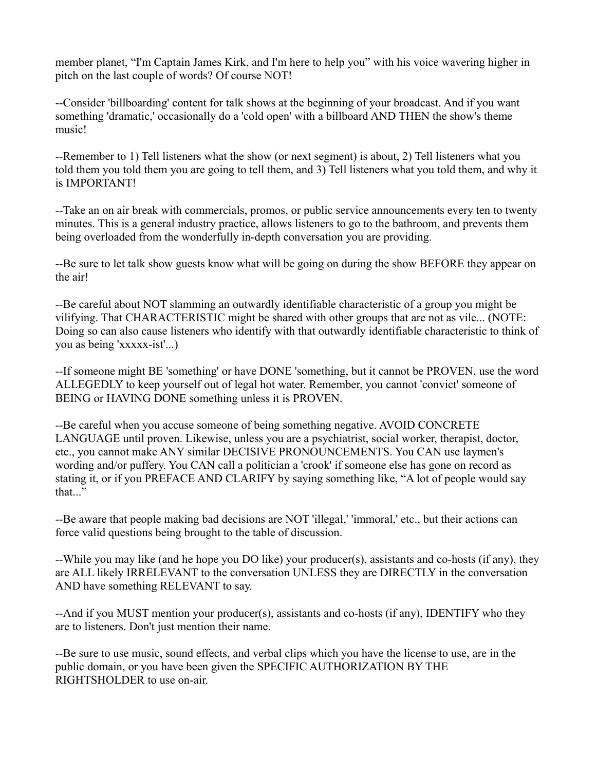member planet, "I'm Captain James Kirk, and I'm here to help you" with his voice wavering higher in pitch on the last couple of words? Of course NOT!

--Consider 'billboarding' content for talk shows at the beginning of your broadcast. And if you want something 'dramatic,' occasionally do a 'cold open' with a billboard AND THEN the show's theme music!

--Remember to 1) Tell listeners what the show (or next segment) is about, 2) Tell listeners what you told them you told them you are going to tell them, and 3) Tell listeners what you told them, and why it is IMPORTANT!

--Take an on air break with commercials, promos, or public service announcements every ten to twenty minutes. This is a general industry practice, allows listeners to go to the bathroom, and prevents them being overloaded from the wonderfully in-depth conversation you are providing.

--Be sure to let talk show guests know what will be going on during the show BEFORE they appear on the air!

--Be careful about NOT slamming an outwardly identifiable characteristic of a group you might be vilifying. That CHARACTERISTIC might be shared with other groups that are not as vile... (NOTE: Doing so can also cause listeners who identify with that outwardly identifiable characteristic to think of you as being 'xxxxx-ist'...)

--If someone might BE 'something' or have DONE 'something, but it cannot be PROVEN, use the word ALLEGEDLY to keep yourself out of legal hot water. Remember, you cannot 'convict' someone of BEING or HAVING DONE something unless it is PROVEN.

--Be careful when you accuse someone of being something negative. AVOID CONCRETE LANGUAGE until proven. Likewise, unless you are a psychiatrist, social worker, therapist, doctor, etc., you cannot make ANY similar DECISIVE PRONOUNCEMENTS. You CAN use laymen's wording and/or puffery. You CAN call a politician a 'crook' if someone else has gone on record as stating it, or if you PREFACE AND CLARIFY by saying something like, "A lot of people would say that..."

--Be aware that people making bad decisions are NOT 'illegal,' 'immoral,' etc., but their actions can force valid questions being brought to the table of discussion.

--While you may like (and he hope you DO like) your producer(s), assistants and co-hosts (if any), they are ALL likely IRRELEVANT to the conversation UNLESS they are DIRECTLY in the conversation AND have something RELEVANT to say.

--And if you MUST mention your producer(s), assistants and co-hosts (if any), IDENTIFY who they are to listeners. Don't just mention their name.

--Be sure to use music, sound effects, and verbal clips which you have the license to use, are in the public domain, or you have been given the SPECIFIC AUTHORIZATION BY THE RIGHTSHOLDER to use on-air.